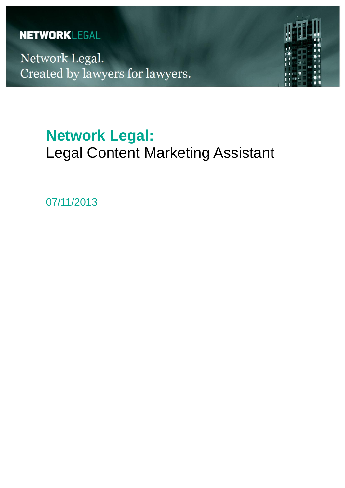# **NETWORKLEGAL**

Network Legal. Created by lawyers for lawyers.



# **Network Legal:** Legal Content Marketing Assistant

07/11/2013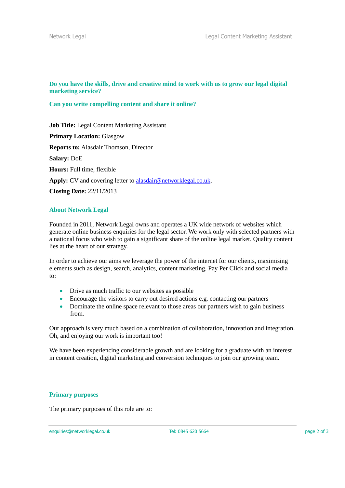## **Do you have the skills, drive and creative mind to work with us to grow our legal digital marketing service?**

#### **Can you write compelling content and share it online?**

**Job Title:** Legal Content Marketing Assistant **Primary Location:** Glasgow **Reports to:** Alasdair Thomson, Director **Salary:** DoE **Hours:** Full time, flexible **Apply:** CV and covering letter to [alasdair@networklegal.co.uk.](mailto:alasdair@networklegal.co.uk) **Closing Date:** 22/11/2013

# **About Network Legal**

Founded in 2011, Network Legal owns and operates a UK wide network of websites which generate online business enquiries for the legal sector. We work only with selected partners with a national focus who wish to gain a significant share of the online legal market. Quality content lies at the heart of our strategy.

In order to achieve our aims we leverage the power of the internet for our clients, maximising elements such as design, search, analytics, content marketing, Pay Per Click and social media to:

- Drive as much traffic to our websites as possible
- Encourage the visitors to carry out desired actions e.g. contacting our partners
- Dominate the online space relevant to those areas our partners wish to gain business from.

Our approach is very much based on a combination of collaboration, innovation and integration. Oh, and enjoying our work is important too!

We have been experiencing considerable growth and are looking for a graduate with an interest in content creation, digital marketing and conversion techniques to join our growing team.

#### **Primary purposes**

The primary purposes of this role are to:

enquiries@networklegal.co.uk Tel: 0845 620 5664 page 2 of 3